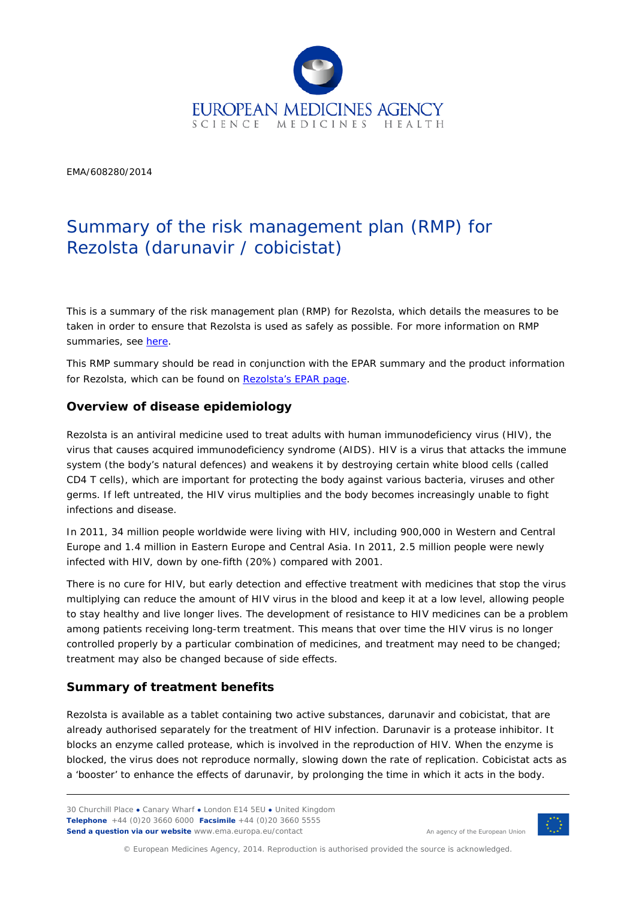

EMA/608280/2014

# Summary of the risk management plan (RMP) for Rezolsta (darunavir / cobicistat)

This is a summary of the risk management plan (RMP) for Rezolsta, which details the measures to be taken in order to ensure that Rezolsta is used as safely as possible. For more information on RMP summaries, see [here.](http://www.ema.europa.eu/docs/en_GB/document_library/Other/2014/05/WC500166101.pdf)

This RMP summary should be read in conjunction with the EPAR summary and the product information for Rezolsta, which can be found on [Rezolsta's EPAR page.](http://www.ema.europa.eu/ema/index.jsp?curl=/pages/medicines/human/medicines/002819/human_med_001817.jsp)

### **Overview of disease epidemiology**

Rezolsta is an antiviral medicine used to treat adults with human immunodeficiency virus (HIV), the virus that causes acquired immunodeficiency syndrome (AIDS). HIV is a virus that attacks the immune system (the body's natural defences) and weakens it by destroying certain white blood cells (called CD4 T cells), which are important for protecting the body against various bacteria, viruses and other germs. If left untreated, the HIV virus multiplies and the body becomes increasingly unable to fight infections and disease.

In 2011, 34 million people worldwide were living with HIV, including 900,000 in Western and Central Europe and 1.4 million in Eastern Europe and Central Asia. In 2011, 2.5 million people were newly infected with HIV, down by one-fifth (20%) compared with 2001.

There is no cure for HIV, but early detection and effective treatment with medicines that stop the virus multiplying can reduce the amount of HIV virus in the blood and keep it at a low level, allowing people to stay healthy and live longer lives. The development of resistance to HIV medicines can be a problem among patients receiving long-term treatment. This means that over time the HIV virus is no longer controlled properly by a particular combination of medicines, and treatment may need to be changed; treatment may also be changed because of side effects.

#### **Summary of treatment benefits**

Rezolsta is available as a tablet containing two active substances, darunavir and cobicistat, that are already authorised separately for the treatment of HIV infection. Darunavir is a protease inhibitor. It blocks an enzyme called protease, which is involved in the reproduction of HIV. When the enzyme is blocked, the virus does not reproduce normally, slowing down the rate of replication. Cobicistat acts as a 'booster' to enhance the effects of darunavir, by prolonging the time in which it acts in the body.

30 Churchill Place **●** Canary Wharf **●** London E14 5EU **●** United Kingdom **Telephone** +44 (0)20 3660 6000 **Facsimile** +44 (0)20 3660 5555 **Send a question via our website** www.ema.europa.eu/contact



An agency of the European Union

© European Medicines Agency, 2014. Reproduction is authorised provided the source is acknowledged.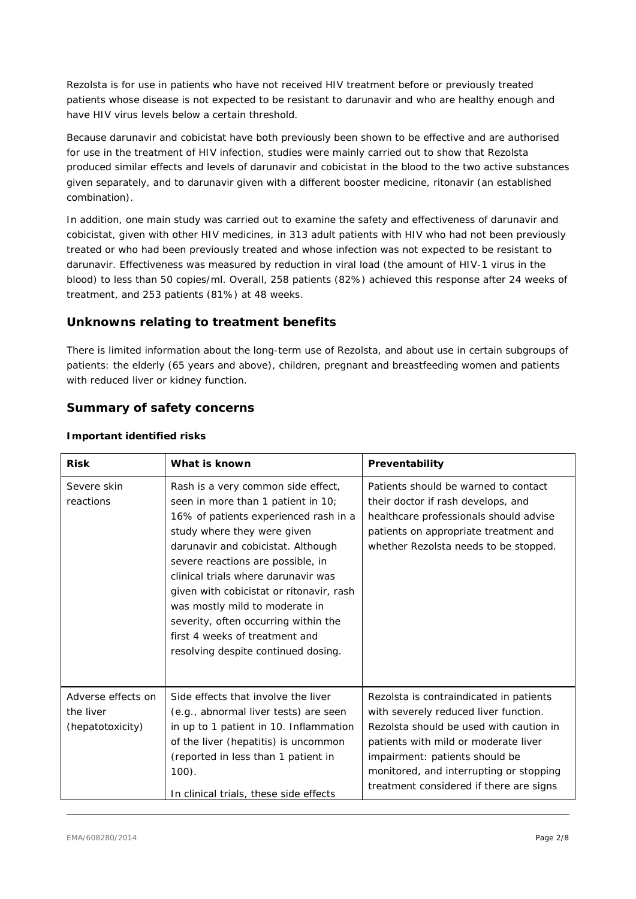Rezolsta is for use in patients who have not received HIV treatment before or previously treated patients whose disease is not expected to be resistant to darunavir and who are healthy enough and have HIV virus levels below a certain threshold.

Because darunavir and cobicistat have both previously been shown to be effective and are authorised for use in the treatment of HIV infection, studies were mainly carried out to show that Rezolsta produced similar effects and levels of darunavir and cobicistat in the blood to the two active substances given separately, and to darunavir given with a different booster medicine, ritonavir (an established combination).

In addition, one main study was carried out to examine the safety and effectiveness of darunavir and cobicistat, given with other HIV medicines, in 313 adult patients with HIV who had not been previously treated or who had been previously treated and whose infection was not expected to be resistant to darunavir. Effectiveness was measured by reduction in viral load (the amount of HIV-1 virus in the blood) to less than 50 copies/ml. Overall, 258 patients (82%) achieved this response after 24 weeks of treatment, and 253 patients (81%) at 48 weeks.

## **Unknowns relating to treatment benefits**

There is limited information about the long-term use of Rezolsta, and about use in certain subgroups of patients: the elderly (65 years and above), children, pregnant and breastfeeding women and patients with reduced liver or kidney function.

### **Summary of safety concerns**

| <b>Risk</b>                                         | What is known                                                                                                                                                                                                                                                                                                                                                                                                                                                     | Preventability                                                                                                                                                                                                                                                                              |  |
|-----------------------------------------------------|-------------------------------------------------------------------------------------------------------------------------------------------------------------------------------------------------------------------------------------------------------------------------------------------------------------------------------------------------------------------------------------------------------------------------------------------------------------------|---------------------------------------------------------------------------------------------------------------------------------------------------------------------------------------------------------------------------------------------------------------------------------------------|--|
| Severe skin<br>reactions                            | Rash is a very common side effect,<br>seen in more than 1 patient in 10;<br>16% of patients experienced rash in a<br>study where they were given<br>darunavir and cobicistat. Although<br>severe reactions are possible, in<br>clinical trials where darunavir was<br>given with cobicistat or ritonavir, rash<br>was mostly mild to moderate in<br>severity, often occurring within the<br>first 4 weeks of treatment and<br>resolving despite continued dosing. | Patients should be warned to contact<br>their doctor if rash develops, and<br>healthcare professionals should advise<br>patients on appropriate treatment and<br>whether Rezolsta needs to be stopped.                                                                                      |  |
| Adverse effects on<br>the liver<br>(hepatotoxicity) | Side effects that involve the liver<br>(e.g., abnormal liver tests) are seen<br>in up to 1 patient in 10. Inflammation<br>of the liver (hepatitis) is uncommon<br>(reported in less than 1 patient in<br>$100$ .<br>In clinical trials, these side effects                                                                                                                                                                                                        | Rezolsta is contraindicated in patients<br>with severely reduced liver function.<br>Rezolsta should be used with caution in<br>patients with mild or moderate liver<br>impairment: patients should be<br>monitored, and interrupting or stopping<br>treatment considered if there are signs |  |

#### *Important identified risks*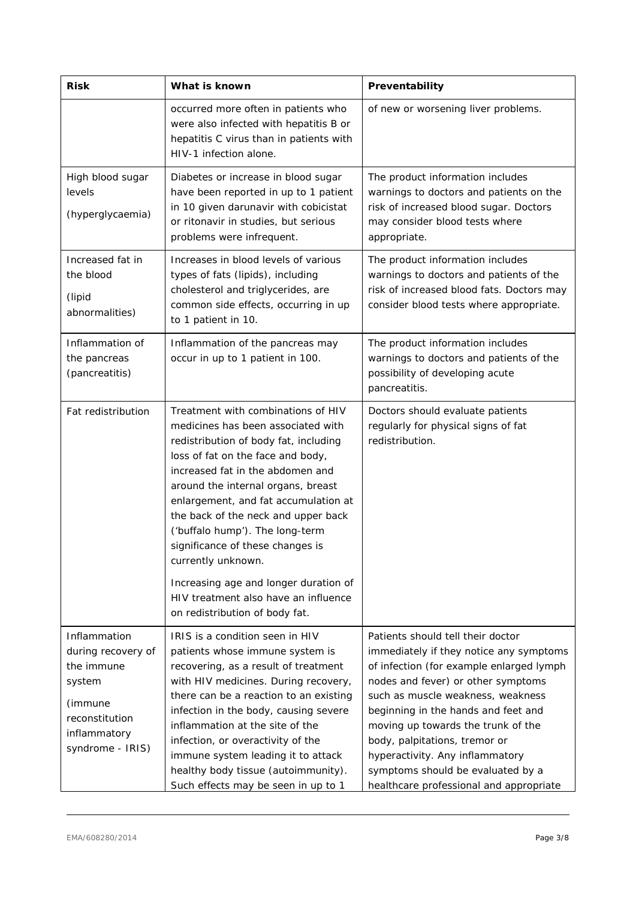| <b>Risk</b>                                                                                                                 | What is known                                                                                                                                                                                                                                                                                                                                                                                                                                                                                                                   | Preventability                                                                                                                                                                                                                                                                                                                                                                                                                       |  |
|-----------------------------------------------------------------------------------------------------------------------------|---------------------------------------------------------------------------------------------------------------------------------------------------------------------------------------------------------------------------------------------------------------------------------------------------------------------------------------------------------------------------------------------------------------------------------------------------------------------------------------------------------------------------------|--------------------------------------------------------------------------------------------------------------------------------------------------------------------------------------------------------------------------------------------------------------------------------------------------------------------------------------------------------------------------------------------------------------------------------------|--|
|                                                                                                                             | occurred more often in patients who<br>were also infected with hepatitis B or<br>hepatitis C virus than in patients with<br>HIV-1 infection alone.                                                                                                                                                                                                                                                                                                                                                                              | of new or worsening liver problems.                                                                                                                                                                                                                                                                                                                                                                                                  |  |
| High blood sugar<br>levels<br>(hyperglycaemia)                                                                              | Diabetes or increase in blood sugar<br>have been reported in up to 1 patient<br>in 10 given darunavir with cobicistat<br>or ritonavir in studies, but serious<br>problems were infrequent.                                                                                                                                                                                                                                                                                                                                      | The product information includes<br>warnings to doctors and patients on the<br>risk of increased blood sugar. Doctors<br>may consider blood tests where<br>appropriate.                                                                                                                                                                                                                                                              |  |
| Increased fat in<br>the blood<br>(lipid<br>abnormalities)                                                                   | Increases in blood levels of various<br>types of fats (lipids), including<br>cholesterol and triglycerides, are<br>common side effects, occurring in up<br>to 1 patient in 10.                                                                                                                                                                                                                                                                                                                                                  | The product information includes<br>warnings to doctors and patients of the<br>risk of increased blood fats. Doctors may<br>consider blood tests where appropriate.                                                                                                                                                                                                                                                                  |  |
| Inflammation of<br>the pancreas<br>(pancreatitis)                                                                           | Inflammation of the pancreas may<br>occur in up to 1 patient in 100.                                                                                                                                                                                                                                                                                                                                                                                                                                                            | The product information includes<br>warnings to doctors and patients of the<br>possibility of developing acute<br>pancreatitis.                                                                                                                                                                                                                                                                                                      |  |
| Fat redistribution                                                                                                          | Treatment with combinations of HIV<br>medicines has been associated with<br>redistribution of body fat, including<br>loss of fat on the face and body,<br>increased fat in the abdomen and<br>around the internal organs, breast<br>enlargement, and fat accumulation at<br>the back of the neck and upper back<br>('buffalo hump'). The long-term<br>significance of these changes is<br>currently unknown.<br>Increasing age and longer duration of<br>HIV treatment also have an influence<br>on redistribution of body fat. | Doctors should evaluate patients<br>regularly for physical signs of fat<br>redistribution.                                                                                                                                                                                                                                                                                                                                           |  |
| Inflammation<br>during recovery of<br>the immune<br>system<br>(immune<br>reconstitution<br>inflammatory<br>syndrome - IRIS) | IRIS is a condition seen in HIV<br>patients whose immune system is<br>recovering, as a result of treatment<br>with HIV medicines. During recovery,<br>there can be a reaction to an existing<br>infection in the body, causing severe<br>inflammation at the site of the<br>infection, or overactivity of the<br>immune system leading it to attack<br>healthy body tissue (autoimmunity).<br>Such effects may be seen in up to 1                                                                                               | Patients should tell their doctor<br>immediately if they notice any symptoms<br>of infection (for example enlarged lymph<br>nodes and fever) or other symptoms<br>such as muscle weakness, weakness<br>beginning in the hands and feet and<br>moving up towards the trunk of the<br>body, palpitations, tremor or<br>hyperactivity. Any inflammatory<br>symptoms should be evaluated by a<br>healthcare professional and appropriate |  |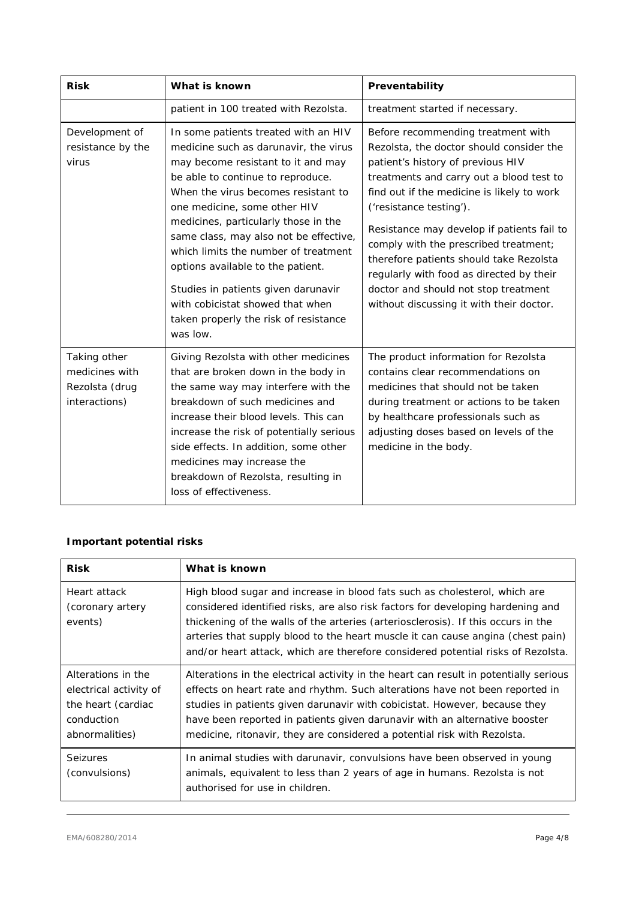| <b>Risk</b>                                                       | What is known                                                                                                                                                                                                                                                                                                                                                                                                                                                                                                                  | Preventability                                                                                                                                                                                                                                                                                                                                                                                                                                                                                             |  |
|-------------------------------------------------------------------|--------------------------------------------------------------------------------------------------------------------------------------------------------------------------------------------------------------------------------------------------------------------------------------------------------------------------------------------------------------------------------------------------------------------------------------------------------------------------------------------------------------------------------|------------------------------------------------------------------------------------------------------------------------------------------------------------------------------------------------------------------------------------------------------------------------------------------------------------------------------------------------------------------------------------------------------------------------------------------------------------------------------------------------------------|--|
|                                                                   | patient in 100 treated with Rezolsta.                                                                                                                                                                                                                                                                                                                                                                                                                                                                                          | treatment started if necessary.                                                                                                                                                                                                                                                                                                                                                                                                                                                                            |  |
| Development of<br>resistance by the<br>virus                      | In some patients treated with an HIV<br>medicine such as darunavir, the virus<br>may become resistant to it and may<br>be able to continue to reproduce.<br>When the virus becomes resistant to<br>one medicine, some other HIV<br>medicines, particularly those in the<br>same class, may also not be effective,<br>which limits the number of treatment<br>options available to the patient.<br>Studies in patients given darunavir<br>with cobicistat showed that when<br>taken properly the risk of resistance<br>was low. | Before recommending treatment with<br>Rezolsta, the doctor should consider the<br>patient's history of previous HIV<br>treatments and carry out a blood test to<br>find out if the medicine is likely to work<br>('resistance testing').<br>Resistance may develop if patients fail to<br>comply with the prescribed treatment;<br>therefore patients should take Rezolsta<br>regularly with food as directed by their<br>doctor and should not stop treatment<br>without discussing it with their doctor. |  |
| Taking other<br>medicines with<br>Rezolsta (drug<br>interactions) | Giving Rezolsta with other medicines<br>that are broken down in the body in<br>the same way may interfere with the<br>breakdown of such medicines and<br>increase their blood levels. This can<br>increase the risk of potentially serious<br>side effects. In addition, some other<br>medicines may increase the<br>breakdown of Rezolsta, resulting in<br>loss of effectiveness.                                                                                                                                             | The product information for Rezolsta<br>contains clear recommendations on<br>medicines that should not be taken<br>during treatment or actions to be taken<br>by healthcare professionals such as<br>adjusting doses based on levels of the<br>medicine in the body.                                                                                                                                                                                                                                       |  |

# *Important potential risks*

| <b>Risk</b>                                                                                        | What is known                                                                                                                                                                                                                                                                                                                                                                                                             |
|----------------------------------------------------------------------------------------------------|---------------------------------------------------------------------------------------------------------------------------------------------------------------------------------------------------------------------------------------------------------------------------------------------------------------------------------------------------------------------------------------------------------------------------|
| Heart attack<br>(coronary artery<br>events)                                                        | High blood sugar and increase in blood fats such as cholesterol, which are<br>considered identified risks, are also risk factors for developing hardening and<br>thickening of the walls of the arteries (arteriosclerosis). If this occurs in the<br>arteries that supply blood to the heart muscle it can cause angina (chest pain)<br>and/or heart attack, which are therefore considered potential risks of Rezolsta. |
| Alterations in the<br>electrical activity of<br>the heart (cardiac<br>conduction<br>abnormalities) | Alterations in the electrical activity in the heart can result in potentially serious<br>effects on heart rate and rhythm. Such alterations have not been reported in<br>studies in patients given darunavir with cobicistat. However, because they<br>have been reported in patients given darunavir with an alternative booster<br>medicine, ritonavir, they are considered a potential risk with Rezolsta.             |
| <b>Seizures</b><br>(convulsions)                                                                   | In animal studies with darunavir, convulsions have been observed in young<br>animals, equivalent to less than 2 years of age in humans. Rezolsta is not<br>authorised for use in children.                                                                                                                                                                                                                                |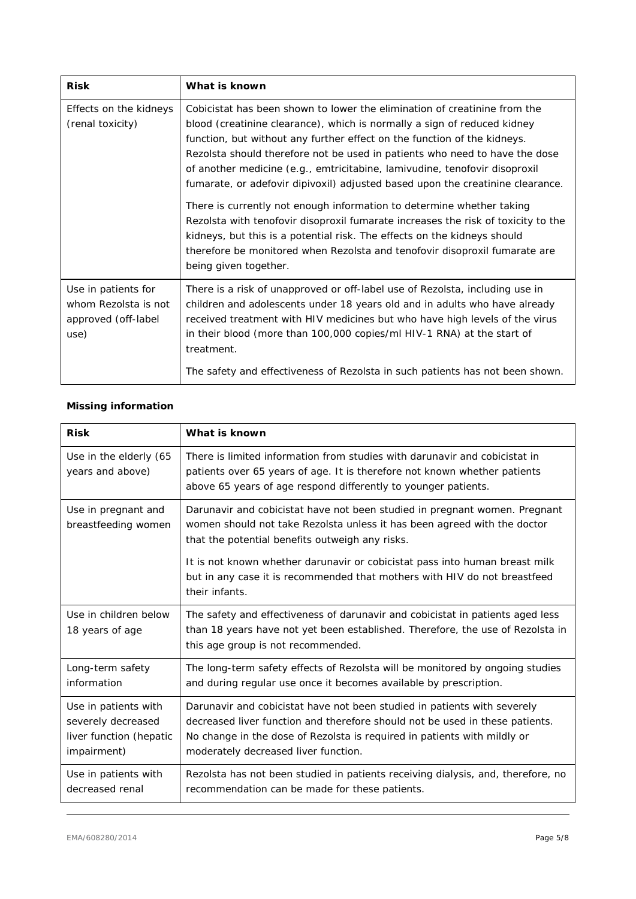| <b>Risk</b>                                                                | What is known                                                                                                                                                                                                                                                                                                                                                                                                                                                                                                                                                                                                                                                                                                                                                                                                                     |
|----------------------------------------------------------------------------|-----------------------------------------------------------------------------------------------------------------------------------------------------------------------------------------------------------------------------------------------------------------------------------------------------------------------------------------------------------------------------------------------------------------------------------------------------------------------------------------------------------------------------------------------------------------------------------------------------------------------------------------------------------------------------------------------------------------------------------------------------------------------------------------------------------------------------------|
| Effects on the kidneys<br>(renal toxicity)                                 | Cobicistat has been shown to lower the elimination of creatinine from the<br>blood (creatinine clearance), which is normally a sign of reduced kidney<br>function, but without any further effect on the function of the kidneys.<br>Rezolsta should therefore not be used in patients who need to have the dose<br>of another medicine (e.g., emtricitabine, lamivudine, tenofovir disoproxil<br>fumarate, or adefovir dipivoxil) adjusted based upon the creatinine clearance.<br>There is currently not enough information to determine whether taking<br>Rezolsta with tenofovir disoproxil fumarate increases the risk of toxicity to the<br>kidneys, but this is a potential risk. The effects on the kidneys should<br>therefore be monitored when Rezolsta and tenofovir disoproxil fumarate are<br>being given together. |
| Use in patients for<br>whom Rezolsta is not<br>approved (off-label<br>use) | There is a risk of unapproved or off-label use of Rezolsta, including use in<br>children and adolescents under 18 years old and in adults who have already<br>received treatment with HIV medicines but who have high levels of the virus<br>in their blood (more than 100,000 copies/ml HIV-1 RNA) at the start of<br>treatment.<br>The safety and effectiveness of Rezolsta in such patients has not been shown.                                                                                                                                                                                                                                                                                                                                                                                                                |

#### *Missing information*

| <b>Risk</b>                                                                          | What is known                                                                                                                                                                                                                                                                |  |
|--------------------------------------------------------------------------------------|------------------------------------------------------------------------------------------------------------------------------------------------------------------------------------------------------------------------------------------------------------------------------|--|
| Use in the elderly (65<br>years and above)                                           | There is limited information from studies with darunavir and cobicistat in<br>patients over 65 years of age. It is therefore not known whether patients<br>above 65 years of age respond differently to younger patients.                                                    |  |
| Use in pregnant and<br>breastfeeding women                                           | Darunavir and cobicistat have not been studied in pregnant women. Pregnant<br>women should not take Rezolsta unless it has been agreed with the doctor<br>that the potential benefits outweigh any risks.                                                                    |  |
|                                                                                      | It is not known whether darunavir or cobicistat pass into human breast milk<br>but in any case it is recommended that mothers with HIV do not breastfeed<br>their infants.                                                                                                   |  |
| Use in children below<br>18 years of age                                             | The safety and effectiveness of darunavir and cobicistat in patients aged less<br>than 18 years have not yet been established. Therefore, the use of Rezolsta in<br>this age group is not recommended.                                                                       |  |
| Long-term safety<br>information                                                      | The long-term safety effects of Rezolsta will be monitored by ongoing studies<br>and during regular use once it becomes available by prescription.                                                                                                                           |  |
| Use in patients with<br>severely decreased<br>liver function (hepatic<br>impairment) | Darunavir and cobicistat have not been studied in patients with severely<br>decreased liver function and therefore should not be used in these patients.<br>No change in the dose of Rezolsta is required in patients with mildly or<br>moderately decreased liver function. |  |
| Use in patients with<br>decreased renal                                              | Rezolsta has not been studied in patients receiving dialysis, and, therefore, no<br>recommendation can be made for these patients.                                                                                                                                           |  |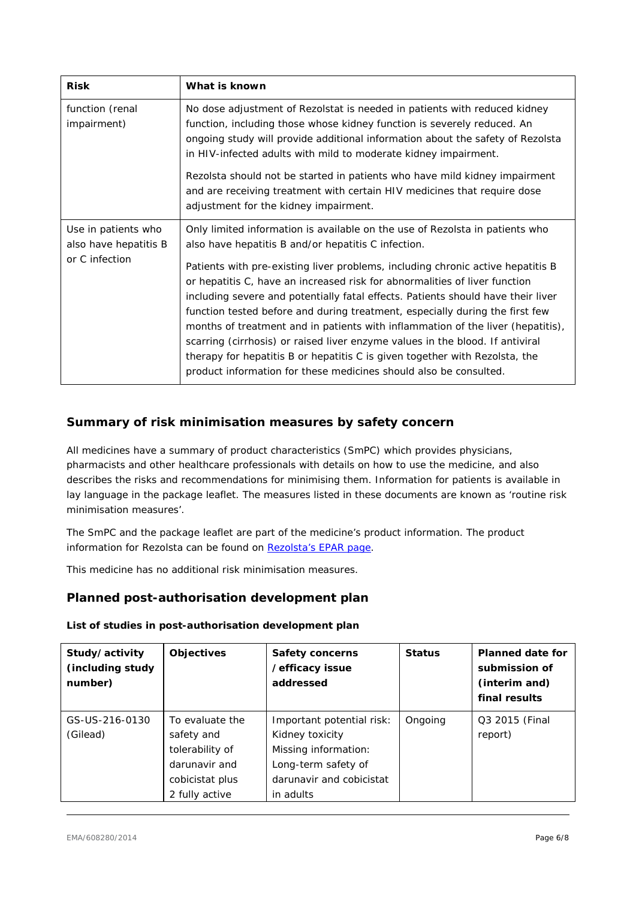| <b>Risk</b>                                                    | What is known                                                                                                                                                                                                                                                                                                                                                                                                                                                                                                                                                                                                                                                                                                                                                                                    |  |  |
|----------------------------------------------------------------|--------------------------------------------------------------------------------------------------------------------------------------------------------------------------------------------------------------------------------------------------------------------------------------------------------------------------------------------------------------------------------------------------------------------------------------------------------------------------------------------------------------------------------------------------------------------------------------------------------------------------------------------------------------------------------------------------------------------------------------------------------------------------------------------------|--|--|
| function (renal<br>impairment)                                 | No dose adjustment of Rezolstat is needed in patients with reduced kidney<br>function, including those whose kidney function is severely reduced. An<br>ongoing study will provide additional information about the safety of Rezolsta<br>in HIV-infected adults with mild to moderate kidney impairment.<br>Rezolsta should not be started in patients who have mild kidney impairment<br>and are receiving treatment with certain HIV medicines that require dose<br>adjustment for the kidney impairment.                                                                                                                                                                                                                                                                                     |  |  |
| Use in patients who<br>also have hepatitis B<br>or C infection | Only limited information is available on the use of Rezolsta in patients who<br>also have hepatitis B and/or hepatitis C infection.<br>Patients with pre-existing liver problems, including chronic active hepatitis B<br>or hepatitis C, have an increased risk for abnormalities of liver function<br>including severe and potentially fatal effects. Patients should have their liver<br>function tested before and during treatment, especially during the first few<br>months of treatment and in patients with inflammation of the liver (hepatitis),<br>scarring (cirrhosis) or raised liver enzyme values in the blood. If antiviral<br>therapy for hepatitis B or hepatitis C is given together with Rezolsta, the<br>product information for these medicines should also be consulted. |  |  |

# **Summary of risk minimisation measures by safety concern**

All medicines have a summary of product characteristics (SmPC) which provides physicians, pharmacists and other healthcare professionals with details on how to use the medicine, and also describes the risks and recommendations for minimising them. Information for patients is available in lay language in the package leaflet. The measures listed in these documents are known as 'routine risk minimisation measures'.

The SmPC and the package leaflet are part of the medicine's product information. The product information for Rezolsta can be found on [Rezolsta's EPAR page.](http://www.ema.europa.eu/ema/index.jsp?curl=/pages/medicines/human/medicines/002819/human_med_001817.jsp)

This medicine has no additional risk minimisation measures.

#### **Planned post-authorisation development plan**

| Study/activity<br>(including study<br>number) | <b>Objectives</b> | <b>Safety concerns</b><br>/efficacy issue<br>addressed | <b>Status</b> | <b>Planned date for</b><br>submission of<br>(interim and)<br>final results |
|-----------------------------------------------|-------------------|--------------------------------------------------------|---------------|----------------------------------------------------------------------------|
| GS-US-216-0130                                | To evaluate the   | Important potential risk:                              | Ongoing       | Q3 2015 (Final                                                             |
| (Gilead)                                      | safety and        | Kidney toxicity                                        |               | report)                                                                    |
|                                               | tolerability of   | Missing information:                                   |               |                                                                            |
|                                               | darunavir and     | Long-term safety of                                    |               |                                                                            |
|                                               | cobicistat plus   | darunavir and cobicistat                               |               |                                                                            |
|                                               | 2 fully active    | in adults                                              |               |                                                                            |

*List of studies in post-authorisation development plan*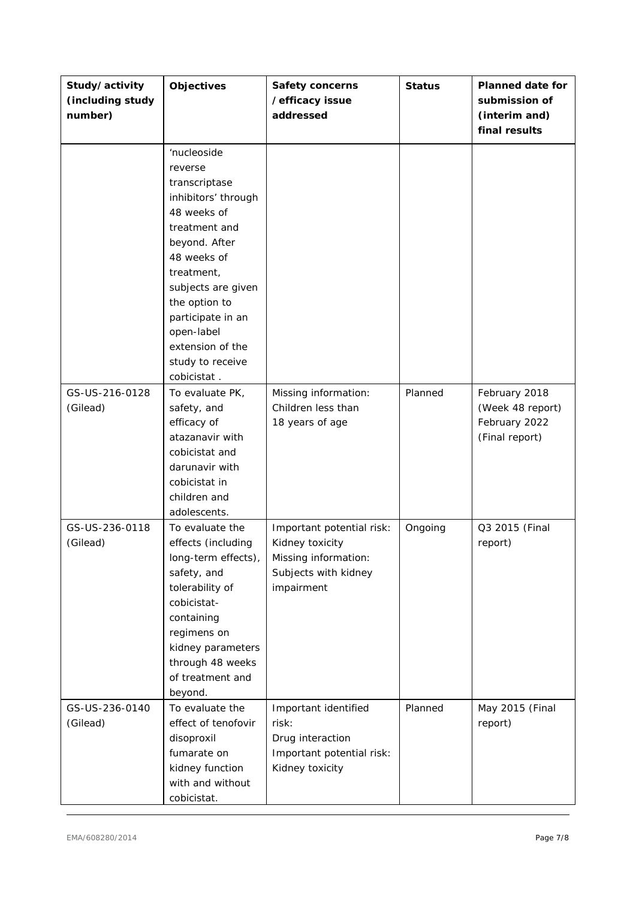| Study/activity<br>(including study<br>number) | <b>Objectives</b>                                                                                                                                                                                                                                                             | <b>Safety concerns</b><br>/efficacy issue<br>addressed                                                     | <b>Status</b> | <b>Planned date for</b><br>submission of<br>(interim and)<br>final results |
|-----------------------------------------------|-------------------------------------------------------------------------------------------------------------------------------------------------------------------------------------------------------------------------------------------------------------------------------|------------------------------------------------------------------------------------------------------------|---------------|----------------------------------------------------------------------------|
|                                               | 'nucleoside<br>reverse<br>transcriptase<br>inhibitors' through<br>48 weeks of<br>treatment and<br>beyond. After<br>48 weeks of<br>treatment,<br>subjects are given<br>the option to<br>participate in an<br>open-label<br>extension of the<br>study to receive<br>cobicistat. |                                                                                                            |               |                                                                            |
| GS-US-216-0128<br>(Gilead)                    | To evaluate PK,<br>safety, and<br>efficacy of<br>atazanavir with<br>cobicistat and<br>darunavir with<br>cobicistat in<br>children and<br>adolescents.                                                                                                                         | Missing information:<br>Children less than<br>18 years of age                                              | Planned       | February 2018<br>(Week 48 report)<br>February 2022<br>(Final report)       |
| GS-US-236-0118<br>(Gilead)                    | To evaluate the<br>effects (including<br>long-term effects),<br>safety, and<br>tolerability of<br>cobicistat-<br>containing<br>regimens on<br>kidney parameters<br>through 48 weeks<br>of treatment and<br>beyond.                                                            | Important potential risk:<br>Kidney toxicity<br>Missing information:<br>Subjects with kidney<br>impairment | Ongoing       | Q3 2015 (Final<br>report)                                                  |
| GS-US-236-0140<br>(Gilead)                    | To evaluate the<br>effect of tenofovir<br>disoproxil<br>fumarate on<br>kidney function<br>with and without<br>cobicistat.                                                                                                                                                     | Important identified<br>risk:<br>Drug interaction<br>Important potential risk:<br>Kidney toxicity          | Planned       | May 2015 (Final<br>report)                                                 |